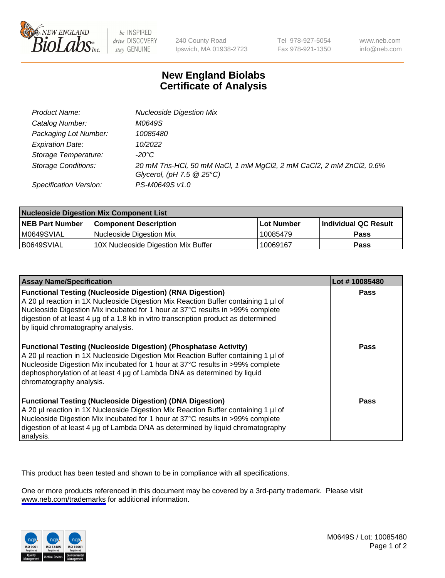

be INSPIRED drive DISCOVERY stay GENUINE

240 County Road Ipswich, MA 01938-2723 Tel 978-927-5054 Fax 978-921-1350

www.neb.com info@neb.com

## **New England Biolabs Certificate of Analysis**

| Product Name:              | <b>Nucleoside Digestion Mix</b>                                                                               |
|----------------------------|---------------------------------------------------------------------------------------------------------------|
| Catalog Number:            | M0649S                                                                                                        |
| Packaging Lot Number:      | 10085480                                                                                                      |
| <b>Expiration Date:</b>    | 10/2022                                                                                                       |
| Storage Temperature:       | -20°C                                                                                                         |
| <b>Storage Conditions:</b> | 20 mM Tris-HCl, 50 mM NaCl, 1 mM MgCl2, 2 mM CaCl2, 2 mM ZnCl2, 0.6%<br>Glycerol, (pH $7.5 \ @ 25^{\circ}C$ ) |
| Specification Version:     | PS-M0649S v1.0                                                                                                |

| <b>Nucleoside Digestion Mix Component List</b> |                                     |            |                      |  |
|------------------------------------------------|-------------------------------------|------------|----------------------|--|
| <b>NEB Part Number</b>                         | <b>Component Description</b>        | Lot Number | Individual QC Result |  |
| M0649SVIAL                                     | Nucleoside Digestion Mix            | 10085479   | <b>Pass</b>          |  |
| B0649SVIAL                                     | 10X Nucleoside Digestion Mix Buffer | 10069167   | Pass                 |  |

| <b>Assay Name/Specification</b>                                                                                                                                                                                                                                                                                                                                       | Lot #10085480 |
|-----------------------------------------------------------------------------------------------------------------------------------------------------------------------------------------------------------------------------------------------------------------------------------------------------------------------------------------------------------------------|---------------|
| <b>Functional Testing (Nucleoside Digestion) (RNA Digestion)</b><br>A 20 µl reaction in 1X Nucleoside Digestion Mix Reaction Buffer containing 1 µl of<br>Nucleoside Digestion Mix incubated for 1 hour at 37°C results in >99% complete<br>digestion of at least 4 µg of a 1.8 kb in vitro transcription product as determined<br>by liquid chromatography analysis. | <b>Pass</b>   |
| <b>Functional Testing (Nucleoside Digestion) (Phosphatase Activity)</b><br>A 20 µl reaction in 1X Nucleoside Digestion Mix Reaction Buffer containing 1 µl of<br>Nucleoside Digestion Mix incubated for 1 hour at 37°C results in >99% complete<br>dephosphorylation of at least 4 µg of Lambda DNA as determined by liquid<br>chromatography analysis.               | <b>Pass</b>   |
| <b>Functional Testing (Nucleoside Digestion) (DNA Digestion)</b><br>A 20 µl reaction in 1X Nucleoside Digestion Mix Reaction Buffer containing 1 µl of<br>Nucleoside Digestion Mix incubated for 1 hour at 37°C results in >99% complete<br>digestion of at least 4 µg of Lambda DNA as determined by liguid chromatography<br>analysis.                              | <b>Pass</b>   |

This product has been tested and shown to be in compliance with all specifications.

One or more products referenced in this document may be covered by a 3rd-party trademark. Please visit <www.neb.com/trademarks>for additional information.